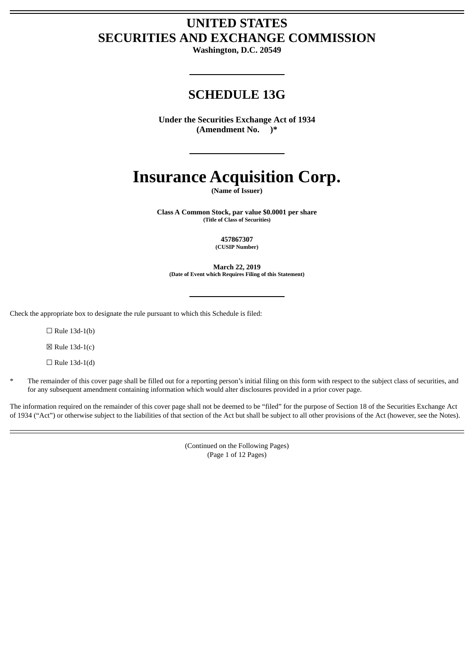# **UNITED STATES SECURITIES AND EXCHANGE COMMISSION**

**Washington, D.C. 20549**

# **SCHEDULE 13G**

**Under the Securities Exchange Act of 1934 (Amendment No. )\***

# **Insurance Acquisition Corp.**

**(Name of Issuer)**

**Class A Common Stock, par value \$0.0001 per share (Title of Class of Securities)**

> **457867307 (CUSIP Number)**

**March 22, 2019 (Date of Event which Requires Filing of this Statement)**

Check the appropriate box to designate the rule pursuant to which this Schedule is filed:

 $\Box$  Rule 13d-1(b)

 $\boxtimes$  Rule 13d-1(c)

 $\Box$  Rule 13d-1(d)

\* The remainder of this cover page shall be filled out for a reporting person's initial filing on this form with respect to the subject class of securities, and for any subsequent amendment containing information which would alter disclosures provided in a prior cover page.

The information required on the remainder of this cover page shall not be deemed to be "filed" for the purpose of Section 18 of the Securities Exchange Act of 1934 ("Act") or otherwise subject to the liabilities of that section of the Act but shall be subject to all other provisions of the Act (however, see the Notes).

> (Continued on the Following Pages) (Page 1 of 12 Pages)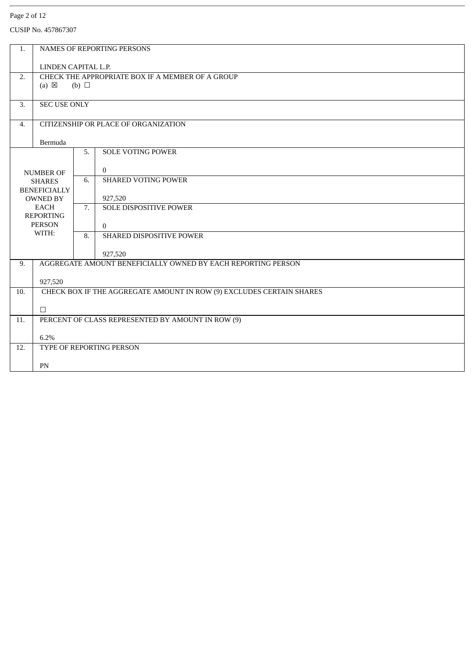### Page 2 of 12

| 1.               |                                        |            | <b>NAMES OF REPORTING PERSONS</b>                                       |  |  |  |
|------------------|----------------------------------------|------------|-------------------------------------------------------------------------|--|--|--|
|                  |                                        |            |                                                                         |  |  |  |
|                  | LINDEN CAPITAL L.P.                    |            |                                                                         |  |  |  |
| 2.               |                                        |            | CHECK THE APPROPRIATE BOX IF A MEMBER OF A GROUP                        |  |  |  |
|                  | $(a) \boxtimes$                        | (b) $\Box$ |                                                                         |  |  |  |
|                  |                                        |            |                                                                         |  |  |  |
| 3.               | <b>SEC USE ONLY</b>                    |            |                                                                         |  |  |  |
| 4.               | CITIZENSHIP OR PLACE OF ORGANIZATION   |            |                                                                         |  |  |  |
|                  | Bermuda                                |            |                                                                         |  |  |  |
|                  |                                        | 5.         | <b>SOLE VOTING POWER</b>                                                |  |  |  |
|                  |                                        |            |                                                                         |  |  |  |
| <b>NUMBER OF</b> |                                        |            | $\theta$                                                                |  |  |  |
|                  | <b>SHARES</b>                          | 6.         | <b>SHARED VOTING POWER</b>                                              |  |  |  |
|                  | <b>BENEFICIALLY</b><br><b>OWNED BY</b> |            | 927,520                                                                 |  |  |  |
|                  | <b>EACH</b>                            | 7.         | <b>SOLE DISPOSITIVE POWER</b>                                           |  |  |  |
|                  | <b>REPORTING</b>                       |            |                                                                         |  |  |  |
|                  | <b>PERSON</b>                          |            | $\Omega$                                                                |  |  |  |
|                  | WITH:                                  | 8.         | SHARED DISPOSITIVE POWER                                                |  |  |  |
|                  |                                        |            |                                                                         |  |  |  |
| 9.               |                                        |            | 927,520<br>AGGREGATE AMOUNT BENEFICIALLY OWNED BY EACH REPORTING PERSON |  |  |  |
|                  |                                        |            |                                                                         |  |  |  |
|                  | 927,520                                |            |                                                                         |  |  |  |
| 10.              |                                        |            | CHECK BOX IF THE AGGREGATE AMOUNT IN ROW (9) EXCLUDES CERTAIN SHARES    |  |  |  |
|                  |                                        |            |                                                                         |  |  |  |
| 11.              | $\Box$                                 |            |                                                                         |  |  |  |
|                  |                                        |            | PERCENT OF CLASS REPRESENTED BY AMOUNT IN ROW (9)                       |  |  |  |
|                  | 6.2%                                   |            |                                                                         |  |  |  |
| 12.              |                                        |            | <b>TYPE OF REPORTING PERSON</b>                                         |  |  |  |
|                  |                                        |            |                                                                         |  |  |  |
|                  | PN                                     |            |                                                                         |  |  |  |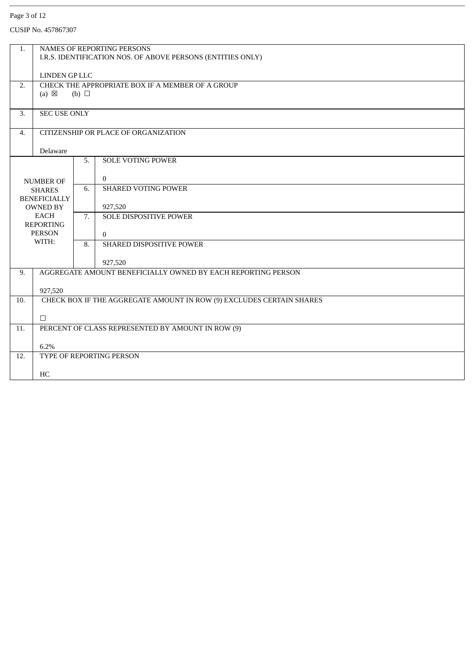### Page 3 of 12

| 1.                  | <b>NAMES OF REPORTING PERSONS</b>                           |            |                                                                      |  |  |  |
|---------------------|-------------------------------------------------------------|------------|----------------------------------------------------------------------|--|--|--|
|                     | I.R.S. IDENTIFICATION NOS. OF ABOVE PERSONS (ENTITIES ONLY) |            |                                                                      |  |  |  |
|                     | LINDEN GP LLC                                               |            |                                                                      |  |  |  |
| 2.                  | CHECK THE APPROPRIATE BOX IF A MEMBER OF A GROUP            |            |                                                                      |  |  |  |
|                     | $(a) \boxtimes$                                             | (b) $\Box$ |                                                                      |  |  |  |
|                     |                                                             |            |                                                                      |  |  |  |
| 3.                  | <b>SEC USE ONLY</b>                                         |            |                                                                      |  |  |  |
|                     |                                                             |            |                                                                      |  |  |  |
|                     | CITIZENSHIP OR PLACE OF ORGANIZATION<br>4.                  |            |                                                                      |  |  |  |
|                     | Delaware                                                    |            |                                                                      |  |  |  |
|                     |                                                             | 5.         | <b>SOLE VOTING POWER</b>                                             |  |  |  |
|                     |                                                             |            |                                                                      |  |  |  |
| <b>NUMBER OF</b>    |                                                             |            | $\Omega$                                                             |  |  |  |
|                     | <b>SHARES</b>                                               | 6.         | <b>SHARED VOTING POWER</b>                                           |  |  |  |
| <b>BENEFICIALLY</b> |                                                             |            |                                                                      |  |  |  |
| <b>OWNED BY</b>     |                                                             |            | 927,520                                                              |  |  |  |
|                     | EACH<br><b>REPORTING</b>                                    | 7.         | <b>SOLE DISPOSITIVE POWER</b>                                        |  |  |  |
|                     | <b>PERSON</b>                                               |            | $\Omega$                                                             |  |  |  |
|                     | WITH:                                                       |            | SHARED DISPOSITIVE POWER                                             |  |  |  |
|                     |                                                             |            |                                                                      |  |  |  |
|                     |                                                             |            | 927,520                                                              |  |  |  |
| 9.                  |                                                             |            | AGGREGATE AMOUNT BENEFICIALLY OWNED BY EACH REPORTING PERSON         |  |  |  |
|                     | 927,520                                                     |            |                                                                      |  |  |  |
| 10.                 |                                                             |            | CHECK BOX IF THE AGGREGATE AMOUNT IN ROW (9) EXCLUDES CERTAIN SHARES |  |  |  |
|                     |                                                             |            |                                                                      |  |  |  |
|                     | $\Box$                                                      |            |                                                                      |  |  |  |
| 11.                 |                                                             |            | PERCENT OF CLASS REPRESENTED BY AMOUNT IN ROW (9)                    |  |  |  |
|                     |                                                             |            |                                                                      |  |  |  |
|                     |                                                             |            |                                                                      |  |  |  |
|                     | TYPE OF REPORTING PERSON                                    |            |                                                                      |  |  |  |
|                     | HC                                                          |            |                                                                      |  |  |  |
| 12.                 | 6.2%                                                        |            |                                                                      |  |  |  |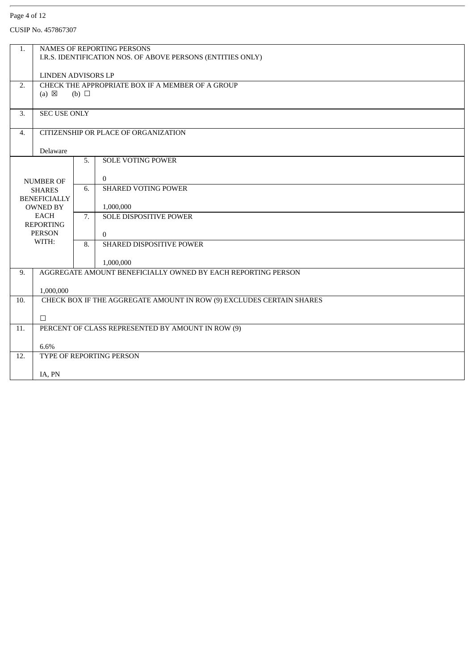### Page 4 of 12

| 1.                                         | NAMES OF REPORTING PERSONS                                                    |            |                                                                      |  |  |  |
|--------------------------------------------|-------------------------------------------------------------------------------|------------|----------------------------------------------------------------------|--|--|--|
|                                            | I.R.S. IDENTIFICATION NOS. OF ABOVE PERSONS (ENTITIES ONLY)                   |            |                                                                      |  |  |  |
|                                            |                                                                               |            |                                                                      |  |  |  |
| 2.                                         | <b>LINDEN ADVISORS LP</b><br>CHECK THE APPROPRIATE BOX IF A MEMBER OF A GROUP |            |                                                                      |  |  |  |
|                                            | $(a) \boxtimes$                                                               | (b) $\Box$ |                                                                      |  |  |  |
|                                            |                                                                               |            |                                                                      |  |  |  |
| 3.                                         | <b>SEC USE ONLY</b>                                                           |            |                                                                      |  |  |  |
|                                            |                                                                               |            |                                                                      |  |  |  |
| CITIZENSHIP OR PLACE OF ORGANIZATION<br>4. |                                                                               |            |                                                                      |  |  |  |
|                                            | Delaware                                                                      |            |                                                                      |  |  |  |
|                                            |                                                                               | 5.         | <b>SOLE VOTING POWER</b>                                             |  |  |  |
|                                            |                                                                               |            |                                                                      |  |  |  |
| <b>NUMBER OF</b>                           |                                                                               |            | $\Omega$                                                             |  |  |  |
|                                            | <b>SHARES</b>                                                                 | 6.         | <b>SHARED VOTING POWER</b>                                           |  |  |  |
|                                            | <b>BENEFICIALLY</b>                                                           |            |                                                                      |  |  |  |
|                                            | <b>OWNED BY</b>                                                               |            | 1,000,000                                                            |  |  |  |
|                                            | EACH<br><b>REPORTING</b>                                                      | 7.         | SOLE DISPOSITIVE POWER                                               |  |  |  |
|                                            | <b>PERSON</b>                                                                 |            | $\Omega$                                                             |  |  |  |
|                                            | WITH:                                                                         | 8.         | SHARED DISPOSITIVE POWER                                             |  |  |  |
|                                            |                                                                               |            |                                                                      |  |  |  |
|                                            |                                                                               |            | 1,000,000                                                            |  |  |  |
| 9.                                         |                                                                               |            | AGGREGATE AMOUNT BENEFICIALLY OWNED BY EACH REPORTING PERSON         |  |  |  |
|                                            | 1,000,000                                                                     |            |                                                                      |  |  |  |
| 10.                                        |                                                                               |            | CHECK BOX IF THE AGGREGATE AMOUNT IN ROW (9) EXCLUDES CERTAIN SHARES |  |  |  |
|                                            |                                                                               |            |                                                                      |  |  |  |
|                                            | $\Box$                                                                        |            |                                                                      |  |  |  |
| 11.                                        |                                                                               |            | PERCENT OF CLASS REPRESENTED BY AMOUNT IN ROW (9)                    |  |  |  |
|                                            | 6.6%                                                                          |            |                                                                      |  |  |  |
| 12.                                        | TYPE OF REPORTING PERSON                                                      |            |                                                                      |  |  |  |
|                                            |                                                                               |            |                                                                      |  |  |  |
|                                            | IA, PN                                                                        |            |                                                                      |  |  |  |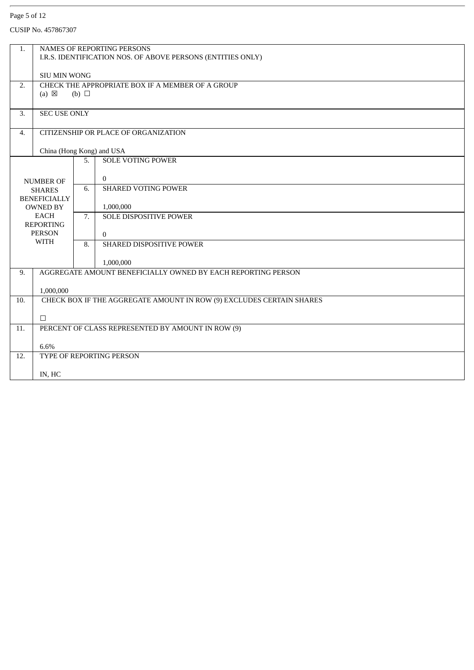### Page 5 of 12

| 1.               | NAMES OF REPORTING PERSONS                                  |            |                                                                      |  |  |  |
|------------------|-------------------------------------------------------------|------------|----------------------------------------------------------------------|--|--|--|
|                  | I.R.S. IDENTIFICATION NOS. OF ABOVE PERSONS (ENTITIES ONLY) |            |                                                                      |  |  |  |
|                  | <b>SIU MIN WONG</b>                                         |            |                                                                      |  |  |  |
| 2.               | CHECK THE APPROPRIATE BOX IF A MEMBER OF A GROUP            |            |                                                                      |  |  |  |
|                  | $(a) \boxtimes$                                             | (b) $\Box$ |                                                                      |  |  |  |
| 3.               | <b>SEC USE ONLY</b>                                         |            |                                                                      |  |  |  |
|                  |                                                             |            |                                                                      |  |  |  |
| $\overline{4}$ . | CITIZENSHIP OR PLACE OF ORGANIZATION                        |            |                                                                      |  |  |  |
|                  | China (Hong Kong) and USA                                   |            |                                                                      |  |  |  |
|                  |                                                             | 5.         | <b>SOLE VOTING POWER</b>                                             |  |  |  |
|                  |                                                             |            |                                                                      |  |  |  |
|                  | <b>NUMBER OF</b>                                            |            | $\Omega$<br><b>SHARED VOTING POWER</b>                               |  |  |  |
|                  | <b>SHARES</b><br><b>BENEFICIALLY</b>                        | 6.         |                                                                      |  |  |  |
|                  | <b>OWNED BY</b>                                             |            | 1,000,000                                                            |  |  |  |
| <b>EACH</b>      |                                                             | 7.         | SOLE DISPOSITIVE POWER                                               |  |  |  |
|                  | <b>REPORTING</b><br><b>PERSON</b>                           |            |                                                                      |  |  |  |
|                  | <b>WITH</b>                                                 |            | $\Omega$                                                             |  |  |  |
|                  |                                                             | 8.         | SHARED DISPOSITIVE POWER                                             |  |  |  |
|                  |                                                             |            | 1,000,000                                                            |  |  |  |
| 9.               |                                                             |            | AGGREGATE AMOUNT BENEFICIALLY OWNED BY EACH REPORTING PERSON         |  |  |  |
|                  | 1,000,000                                                   |            |                                                                      |  |  |  |
| 10.              |                                                             |            | CHECK BOX IF THE AGGREGATE AMOUNT IN ROW (9) EXCLUDES CERTAIN SHARES |  |  |  |
|                  | $\Box$                                                      |            |                                                                      |  |  |  |
| 11.              |                                                             |            | PERCENT OF CLASS REPRESENTED BY AMOUNT IN ROW (9)                    |  |  |  |
|                  |                                                             |            |                                                                      |  |  |  |
|                  | 6.6%                                                        |            | TYPE OF REPORTING PERSON                                             |  |  |  |
| 12.              |                                                             |            |                                                                      |  |  |  |
|                  | IN, HC                                                      |            |                                                                      |  |  |  |
|                  |                                                             |            |                                                                      |  |  |  |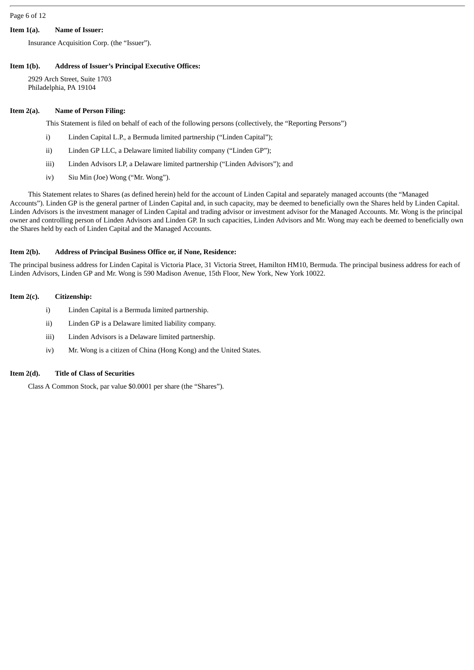### Page 6 of 12

### **Item 1(a). Name of Issuer:**

Insurance Acquisition Corp. (the "Issuer").

# **Item 1(b). Address of Issuer's Principal Executive Offices:**

2929 Arch Street, Suite 1703 Philadelphia, PA 19104

### **Item 2(a). Name of Person Filing:**

This Statement is filed on behalf of each of the following persons (collectively, the "Reporting Persons")

- i) Linden Capital L.P., a Bermuda limited partnership ("Linden Capital");
- ii) Linden GP LLC, a Delaware limited liability company ("Linden GP");
- iii) Linden Advisors LP, a Delaware limited partnership ("Linden Advisors"); and
- iv) Siu Min (Joe) Wong ("Mr. Wong").

This Statement relates to Shares (as defined herein) held for the account of Linden Capital and separately managed accounts (the "Managed Accounts"). Linden GP is the general partner of Linden Capital and, in such capacity, may be deemed to beneficially own the Shares held by Linden Capital. Linden Advisors is the investment manager of Linden Capital and trading advisor or investment advisor for the Managed Accounts. Mr. Wong is the principal owner and controlling person of Linden Advisors and Linden GP. In such capacities, Linden Advisors and Mr. Wong may each be deemed to beneficially own the Shares held by each of Linden Capital and the Managed Accounts.

#### **Item 2(b). Address of Principal Business Office or, if None, Residence:**

The principal business address for Linden Capital is Victoria Place, 31 Victoria Street, Hamilton HM10, Bermuda. The principal business address for each of Linden Advisors, Linden GP and Mr. Wong is 590 Madison Avenue, 15th Floor, New York, New York 10022.

### **Item 2(c). Citizenship:**

- i) Linden Capital is a Bermuda limited partnership.
- ii) Linden GP is a Delaware limited liability company.
- iii) Linden Advisors is a Delaware limited partnership.
- iv) Mr. Wong is a citizen of China (Hong Kong) and the United States.

#### **Item 2(d). Title of Class of Securities**

Class A Common Stock, par value \$0.0001 per share (the "Shares").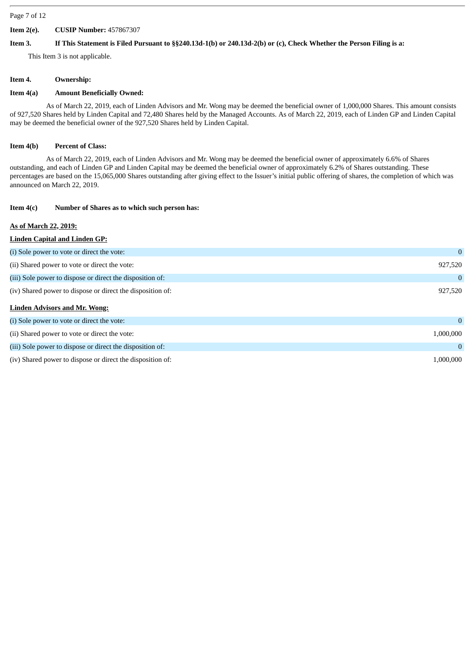#### Page 7 of 12

### **Item 2(e). CUSIP Number:** 457867307

### Item 3. If This Statement is Filed Pursuant to §§240.13d-1(b) or 240.13d-2(b) or (c), Check Whether the Person Filing is a:

This Item 3 is not applicable.

### **Item 4. Ownership:**

### **Item 4(a) Amount Beneficially Owned:**

As of March 22, 2019, each of Linden Advisors and Mr. Wong may be deemed the beneficial owner of 1,000,000 Shares. This amount consists of 927,520 Shares held by Linden Capital and 72,480 Shares held by the Managed Accounts. As of March 22, 2019, each of Linden GP and Linden Capital may be deemed the beneficial owner of the 927,520 Shares held by Linden Capital.

# **Item 4(b) Percent of Class:**

As of March 22, 2019, each of Linden Advisors and Mr. Wong may be deemed the beneficial owner of approximately 6.6% of Shares outstanding, and each of Linden GP and Linden Capital may be deemed the beneficial owner of approximately 6.2% of Shares outstanding. These percentages are based on the 15,065,000 Shares outstanding after giving effect to the Issuer's initial public offering of shares, the completion of which was announced on March 22, 2019.

# **Item 4(c) Number of Shares as to which such person has:**

# **As of March 22, 2019:**

# **Linden Capital and Linden GP:** (i) Sole power to vote or direct the vote: 0 (ii) Shared power to vote or direct the vote: 927,520 (iii) Sole power to dispose or direct the disposition of: 0 (iv) Shared power to dispose or direct the disposition of: 927,520 **Linden Advisors and Mr. Wong:** (i) Sole power to vote or direct the vote: 0 (ii) Shared power to vote or direct the vote: 1,000,000  $\frac{1}{1000}$ (iii) Sole power to dispose or direct the disposition of: 0 (iv) Shared power to dispose or direct the disposition of: 1,000,000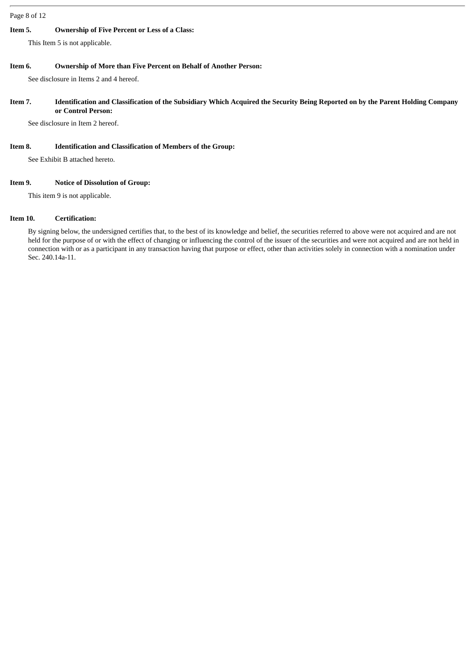### Page 8 of 12

### **Item 5. Ownership of Five Percent or Less of a Class:**

This Item 5 is not applicable.

### **Item 6. Ownership of More than Five Percent on Behalf of Another Person:**

See disclosure in Items 2 and 4 hereof.

### Item 7. Identification and Classification of the Subsidiary Which Acquired the Security Being Reported on by the Parent Holding Company **or Control Person:**

See disclosure in Item 2 hereof.

### **Item 8. Identification and Classification of Members of the Group:**

See Exhibit B attached hereto.

# **Item 9. Notice of Dissolution of Group:**

This item 9 is not applicable.

# **Item 10. Certification:**

By signing below, the undersigned certifies that, to the best of its knowledge and belief, the securities referred to above were not acquired and are not held for the purpose of or with the effect of changing or influencing the control of the issuer of the securities and were not acquired and are not held in connection with or as a participant in any transaction having that purpose or effect, other than activities solely in connection with a nomination under Sec. 240.14a-11.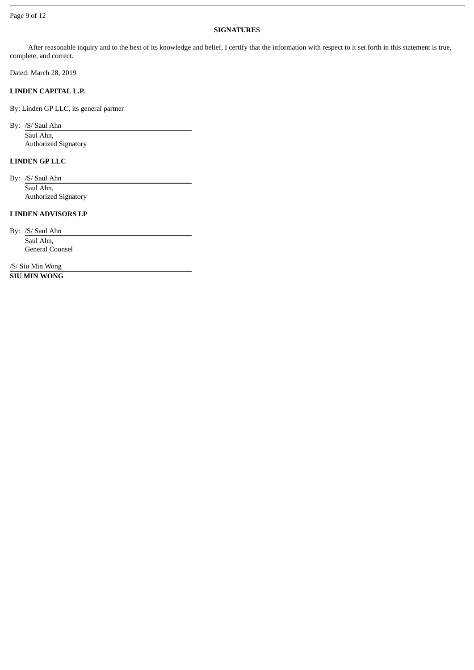### Page 9 of 12

### **SIGNATURES**

After reasonable inquiry and to the best of its knowledge and belief, I certify that the information with respect to it set forth in this statement is true, complete, and correct.

Dated: March 28, 2019

### **LINDEN CAPITAL L.P.**

By: Linden GP LLC, its general partner

By: /S/ Saul Ahn Saul Ahn, Authorized Signatory

### **LINDEN GP LLC**

By: /S/ Saul Ahn Saul Ahn, Authorized Signatory

# **LINDEN ADVISORS LP**

By: /S/ Saul Ahn

Saul Ahn, General Counsel

/S/ Siu Min Wong **SIU MIN WONG**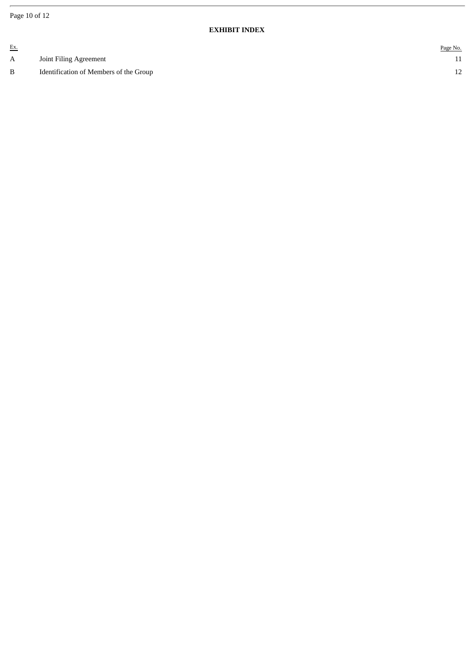Page 10 of 12

### **EXHIBIT INDEX**

| <u>Ex.</u> |                                        | Page No. |
|------------|----------------------------------------|----------|
| A          | Joint Filing Agreement                 |          |
| B          | Identification of Members of the Group | ∸∸       |
|            |                                        |          |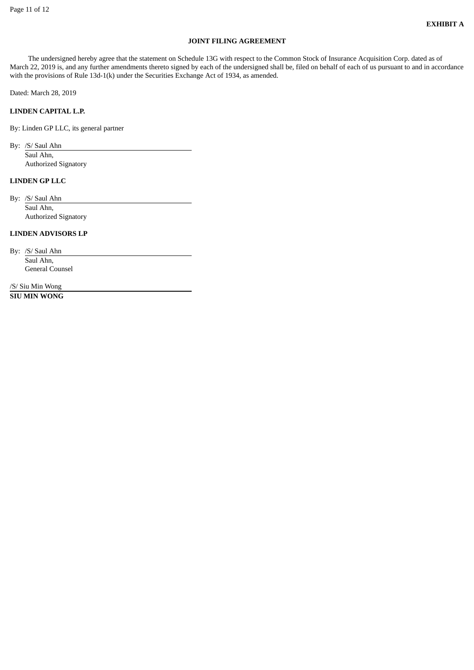# **JOINT FILING AGREEMENT**

The undersigned hereby agree that the statement on Schedule 13G with respect to the Common Stock of Insurance Acquisition Corp. dated as of March 22, 2019 is, and any further amendments thereto signed by each of the undersigned shall be, filed on behalf of each of us pursuant to and in accordance with the provisions of Rule 13d-1(k) under the Securities Exchange Act of 1934, as amended.

Dated: March 28, 2019

### **LINDEN CAPITAL L.P.**

By: Linden GP LLC, its general partner

By: /S/ Saul Ahn

Saul Ahn, Authorized Signatory

### **LINDEN GP LLC**

By: /S/ Saul Ahn Saul Ahn,

Authorized Signatory

### **LINDEN ADVISORS LP**

By: /S/ Saul Ahn Saul Ahn, General Counsel

/S/ Siu Min Wong **SIU MIN WONG**